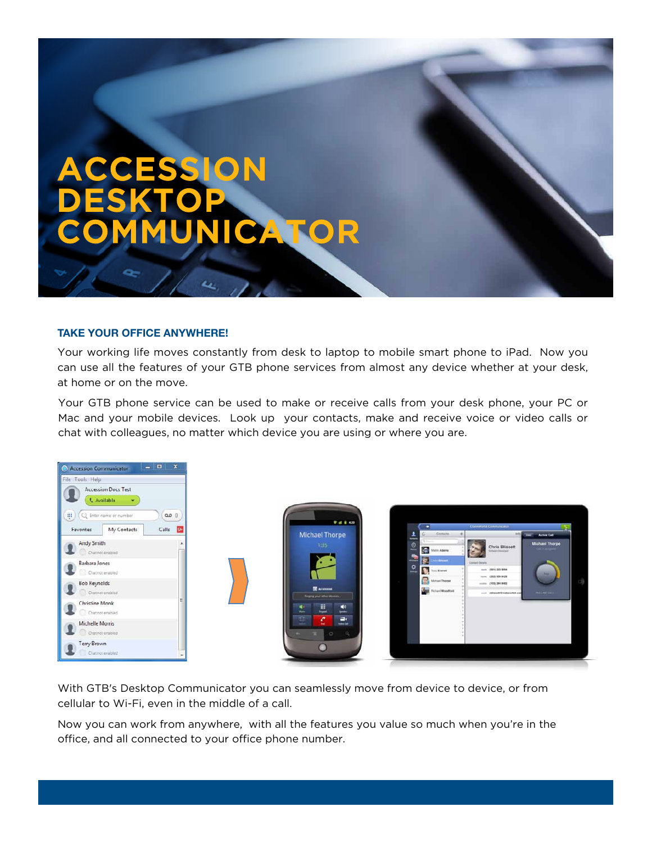# ACCESSION DESKTOP JNICATOR

## **TAKE YOUR OFFICE ANYWHERE!**

Your working life moves constantly from desk to laptop to mobile smart phone to iPad. Now you can use all the features of your GTB phone services from almost any device whether at your desk, at home or on the move.

Your GTB phone service can be used to make or receive calls from your desk phone, your PC or Mac and your mobile devices. Look up your contacts, make and receive voice or video calls or chat with colleagues, no matter which device you are using or where you are.



With GTB's Desktop Communicator you can seamlessly move from device to device, or from cellular to Wi-Fi, even in the middle of a call.

Now you can work from anywhere, with all the features you value so much when you're in the office, and all connected to your office phone number.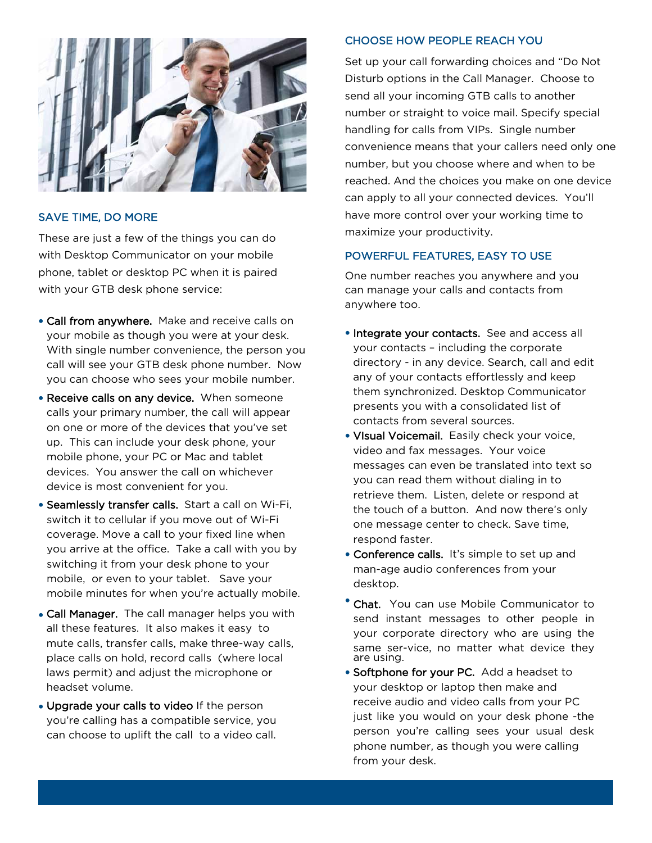

## SAVE TIME, DO MORE

These are just a few of the things you can do with Desktop Communicator on your mobile phone, tablet or desktop PC when it is paired with your GTB desk phone service:

- Call from anywhere. Make and receive calls on your mobile as though you were at your desk. With single number convenience, the person you call will see your GTB desk phone number. Now you can choose who sees your mobile number.
- Receive calls on any device. When someone calls your primary number, the call will appear on one or more of the devices that you've set up. This can include your desk phone, your mobile phone, your PC or Mac and tablet devices. You answer the call on whichever device is most convenient for you.
- Seamlessly transfer calls. Start a call on Wi-Fi, switch it to cellular if you move out of Wi-Fi coverage. Move a call to your fixed line when you arrive at the office. Take a call with you by switching it from your desk phone to your mobile, or even to your tablet. Save your mobile minutes for when you're actually mobile.
- Call Manager. The call manager helps you with all these features. It also makes it easy to mute calls, transfer calls, make three-way calls, place calls on hold, record calls (where local laws permit) and adjust the microphone or headset volume.
- Upgrade your calls to video If the person you're calling has a compatible service, you can choose to uplift the call to a video call.

## CHOOSE HOW PEOPLE REACH YOU

Set up your call forwarding choices and "Do Not Disturb options in the Call Manager. Choose to send all your incoming GTB calls to another number or straight to voice mail. Specify special handling for calls from VIPs. Single number convenience means that your callers need only one number, but you choose where and when to be reached. And the choices you make on one device can apply to all your connected devices. You'll have more control over your working time to maximize your productivity.

# POWERFUL FEATURES, EASY TO USE

One number reaches you anywhere and you can manage your calls and contacts from anywhere too.

- Integrate your contacts. See and access all your contacts – including the corporate directory - in any device. Search, call and edit any of your contacts effortlessly and keep them synchronized. Desktop Communicator presents you with a consolidated list of contacts from several sources.
- VIsual Voicemail. Easily check your voice, video and fax messages. Your voice messages can even be translated into text so you can read them without dialing in to retrieve them. Listen, delete or respond at the touch of a button. And now there's only one message center to check. Save time, respond faster.
- Conference calls. It's simple to set up and man-age audio conferences from your desktop.
- **Chat.** You can use Mobile Communicator to send instant messages to other people in your corporate directory who are using the same ser-vice, no matter what device they are using.
- Softphone for your PC. Add a headset to your desktop or laptop then make and receive audio and video calls from your PC just like you would on your desk phone -the person you're calling sees your usual desk phone number, as though you were calling from your desk.